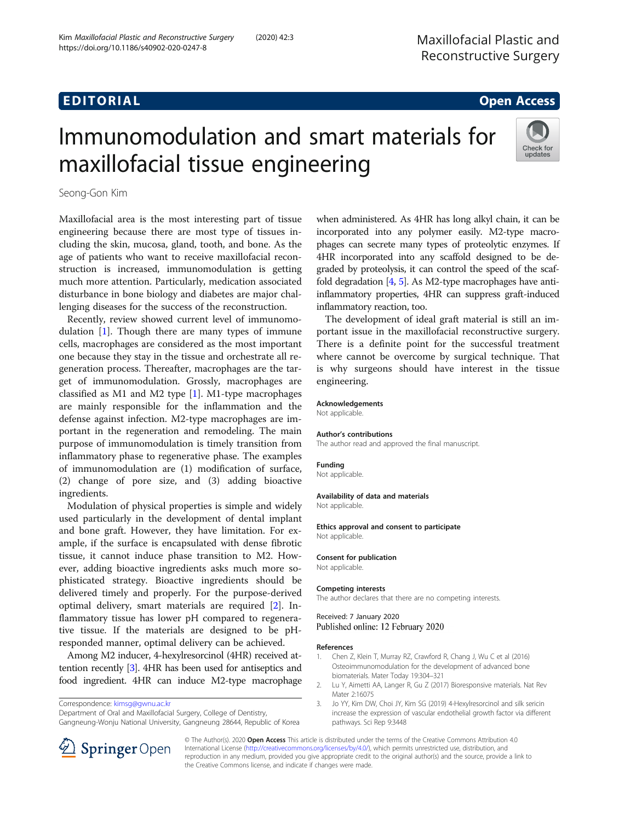# EDI TORIA L Open Access

# Immunomodulation and smart materials for maxillofacial tissue engineering



Seong-Gon Kim

Maxillofacial area is the most interesting part of tissue engineering because there are most type of tissues including the skin, mucosa, gland, tooth, and bone. As the age of patients who want to receive maxillofacial reconstruction is increased, immunomodulation is getting much more attention. Particularly, medication associated disturbance in bone biology and diabetes are major challenging diseases for the success of the reconstruction.

Recently, review showed current level of immunomodulation [1]. Though there are many types of immune cells, macrophages are considered as the most important one because they stay in the tissue and orchestrate all regeneration process. Thereafter, macrophages are the target of immunomodulation. Grossly, macrophages are classified as M1 and M2 type  $[1]$ . M1-type macrophages are mainly responsible for the inflammation and the defense against infection. M2-type macrophages are important in the regeneration and remodeling. The main purpose of immunomodulation is timely transition from inflammatory phase to regenerative phase. The examples of immunomodulation are (1) modification of surface, (2) change of pore size, and (3) adding bioactive ingredients.

Modulation of physical properties is simple and widely used particularly in the development of dental implant and bone graft. However, they have limitation. For example, if the surface is encapsulated with dense fibrotic tissue, it cannot induce phase transition to M2. However, adding bioactive ingredients asks much more sophisticated strategy. Bioactive ingredients should be delivered timely and properly. For the purpose-derived optimal delivery, smart materials are required [2]. Inflammatory tissue has lower pH compared to regenerative tissue. If the materials are designed to be pHresponded manner, optimal delivery can be achieved.

Among M2 inducer, 4-hexylresorcinol (4HR) received attention recently [3]. 4HR has been used for antiseptics and food ingredient. 4HR can induce M2-type macrophage

Correspondence: [kimsg@gwnu.ac.kr](mailto:kimsg@gwnu.ac.kr)

Department of Oral and Maxillofacial Surgery, College of Dentistry, Gangneung-Wonju National University, Gangneung 28644, Republic of Korea when administered. As 4HR has long alkyl chain, it can be incorporated into any polymer easily. M2-type macrophages can secrete many types of proteolytic enzymes. If 4HR incorporated into any scaffold designed to be degraded by proteolysis, it can control the speed of the scaffold degradation [\[4](#page-1-0), [5](#page-1-0)]. As M2-type macrophages have antiinflammatory properties, 4HR can suppress graft-induced inflammatory reaction, too.

The development of ideal graft material is still an important issue in the maxillofacial reconstructive surgery. There is a definite point for the successful treatment where cannot be overcome by surgical technique. That is why surgeons should have interest in the tissue engineering.

#### Acknowledgements

Not applicable.

#### Author's contributions

The author read and approved the final manuscript.

#### Funding

Not applicable.

#### Availability of data and materials

Not applicable.

#### Ethics approval and consent to participate

Not applicable.

#### Consent for publication

Not applicable.

#### Competing interests

The author declares that there are no competing interests.

Received: 7 January 2020 Published online: 12 February 2020

#### References

- 1. Chen Z, Klein T, Murray RZ, Crawford R, Chang J, Wu C et al (2016) Osteoimmunomodulation for the development of advanced bone biomaterials. Mater Today 19:304–321
- 2. Lu Y, Aimetti AA, Langer R, Gu Z (2017) Bioresponsive materials. Nat Rev Mater 2:16075
- 3. Jo YY, Kim DW, Choi JY, Kim SG (2019) 4-Hexylresorcinol and silk sericin increase the expression of vascular endothelial growth factor via different pathways. Sci Rep 9:3448



© The Author(s). 2020 Open Access This article is distributed under the terms of the Creative Commons Attribution 4.0 International License ([http://creativecommons.org/licenses/by/4.0/\)](http://creativecommons.org/licenses/by/4.0/), which permits unrestricted use, distribution, and reproduction in any medium, provided you give appropriate credit to the original author(s) and the source, provide a link to the Creative Commons license, and indicate if changes were made.